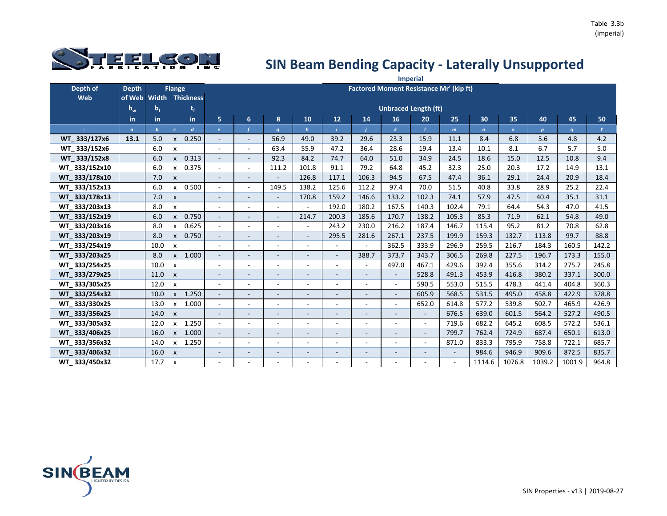

|               |              |                |                           |                        |                          |                          |                          |                          |                              |                          |                                                | <b>Imperial</b> |                          |                 |              |                  |        |              |
|---------------|--------------|----------------|---------------------------|------------------------|--------------------------|--------------------------|--------------------------|--------------------------|------------------------------|--------------------------|------------------------------------------------|-----------------|--------------------------|-----------------|--------------|------------------|--------|--------------|
| Depth of      | <b>Depth</b> |                | <b>Flange</b>             |                        |                          |                          |                          |                          |                              |                          | <b>Factored Moment Resistance Mr' (kip ft)</b> |                 |                          |                 |              |                  |        |              |
| <b>Web</b>    | of Web       |                |                           | <b>Width Thickness</b> |                          |                          |                          |                          |                              |                          |                                                |                 |                          |                 |              |                  |        |              |
|               | $h_w$        | b <sub>f</sub> |                           | t,                     |                          |                          |                          |                          |                              |                          | <b>Unbraced Length (ft)</b>                    |                 |                          |                 |              |                  |        |              |
|               | in.          | in             |                           | in                     | 5                        | 6                        | 8                        | 10                       | 12                           | 14                       | 16                                             | 20              | 25                       | 30 <sub>2</sub> | 35           | 40               | 45     | 50           |
|               | $\alpha$     | $\mathbf{b}$   | $\epsilon$                | $\overline{d}$         | $\epsilon$               |                          | $\boldsymbol{g}$         | $\boldsymbol{h}$         |                              |                          |                                                |                 | $\mathbf{m}$             | $\overline{ }$  | $\mathbf{o}$ | $\boldsymbol{p}$ | q      | $\mathbf{r}$ |
| WT 333/127x6  | 13.1         | 5.0            | $\mathsf{x}$              | 0.250                  |                          | $\overline{\phantom{a}}$ | 56.9                     | 49.0                     | 39.2                         | 29.6                     | 23.3                                           | 15.9            | 11.1                     | 8.4             | 6.8          | 5.6              | 4.8    | 4.2          |
| WT 333/152x6  |              | 6.0            | $\boldsymbol{\mathsf{x}}$ |                        |                          | $\overline{a}$           | 63.4                     | 55.9                     | 47.2                         | 36.4                     | 28.6                                           | 19.4            | 13.4                     | 10.1            | 8.1          | 6.7              | 5.7    | 5.0          |
| WT 333/152x8  |              | 6.0            | $\mathsf{x}$              | 0.313                  | $\sim$                   | $\blacksquare$           | 92.3                     | 84.2                     | 74.7                         | 64.0                     | 51.0                                           | 34.9            | 24.5                     | 18.6            | 15.0         | 12.5             | 10.8   | 9.4          |
| WT 333/152x10 |              | 6.0            | $\mathsf{x}$              | 0.375                  |                          | ÷                        | 111.2                    | 101.8                    | 91.1                         | 79.2                     | 64.8                                           | 45.2            | 32.3                     | 25.0            | 20.3         | 17.2             | 14.9   | 13.1         |
| WT 333/178x10 |              | 7.0            | $\mathsf{x}$              |                        |                          | $\overline{\phantom{a}}$ | $\overline{\phantom{a}}$ | 126.8                    | 117.1                        | 106.3                    | 94.5                                           | 67.5            | 47.4                     | 36.1            | 29.1         | 24.4             | 20.9   | 18.4         |
| WT 333/152x13 |              | 6.0            | $\mathsf{x}$              | 0.500                  |                          | $\overline{\phantom{a}}$ | 149.5                    | 138.2                    | 125.6                        | 112.2                    | 97.4                                           | 70.0            | 51.5                     | 40.8            | 33.8         | 28.9             | 25.2   | 22.4         |
| WT 333/178x13 |              | 7.0            | $\mathsf{x}$              |                        | $\sim$                   | $\overline{\phantom{a}}$ | $\overline{\phantom{a}}$ | 170.8                    | 159.2                        | 146.6                    | 133.2                                          | 102.3           | 74.1                     | 57.9            | 47.5         | 40.4             | 35.1   | 31.1         |
| WT_333/203x13 |              | 8.0            | X                         |                        |                          | $\blacksquare$           | $\sim$                   | $\overline{a}$           | 192.0                        | 180.2                    | 167.5                                          | 140.3           | 102.4                    | 79.1            | 64.4         | 54.3             | 47.0   | 41.5         |
| WT 333/152x19 |              | 6.0            | $\mathsf{x}$              | 0.750                  | $\overline{\phantom{a}}$ | $\blacksquare$           | $\blacksquare$           | 214.7                    | 200.3                        | 185.6                    | 170.7                                          | 138.2           | 105.3                    | 85.3            | 71.9         | 62.1             | 54.8   | 49.0         |
| WT 333/203x16 |              | 8.0            | $\mathsf{x}$              | 0.625                  | $\overline{\phantom{a}}$ | $\overline{\phantom{a}}$ | $\sim$                   | ÷.                       | 243.2                        | 230.0                    | 216.2                                          | 187.4           | 146.7                    | 115.4           | 95.2         | 81.2             | 70.8   | 62.8         |
| WT 333/203x19 |              | 8.0            | $\mathsf{x}$              | 0.750                  | $\overline{\phantom{a}}$ | $\overline{\phantom{a}}$ | $\overline{\phantom{a}}$ | $\overline{\phantom{a}}$ | 295.5                        | 281.6                    | 267.1                                          | 237.5           | 199.9                    | 159.3           | 132.7        | 113.8            | 99.7   | 88.8         |
| WT_333/254x19 |              | 10.0           | $\boldsymbol{\mathsf{x}}$ |                        |                          | $\overline{\phantom{a}}$ | $\blacksquare$           | $\blacksquare$           | $\sim$                       | $\blacksquare$           | 362.5                                          | 333.9           | 296.9                    | 259.5           | 216.7        | 184.3            | 160.5  | 142.2        |
| WT 333/203x25 |              | 8.0            | $\mathsf{x}$              | 1.000                  | $\overline{\phantom{a}}$ | $\overline{\phantom{a}}$ | $\overline{\phantom{a}}$ | $\overline{\phantom{a}}$ | $\blacksquare$               | 388.7                    | 373.7                                          | 343.7           | 306.5                    | 269.8           | 227.5        | 196.7            | 173.3  | 155.0        |
| WT 333/254x25 |              | 10.0           | $\boldsymbol{\mathsf{x}}$ |                        |                          | $\blacksquare$           | $\blacksquare$           | $\overline{\phantom{a}}$ | $\blacksquare$               | $\blacksquare$           | 497.0                                          | 467.1           | 429.6                    | 392.4           | 355.6        | 314.2            | 275.7  | 245.8        |
| WT 333/279x25 |              | 11.0           | $\mathsf{x}$              |                        | $\overline{\phantom{a}}$ | $\overline{\phantom{a}}$ | $\overline{\phantom{a}}$ | $\overline{\phantom{a}}$ | $\overline{\phantom{a}}$     | $\overline{\phantom{a}}$ | $\overline{\phantom{a}}$                       | 528.8           | 491.3                    | 453.9           | 416.8        | 380.2            | 337.1  | 300.0        |
| WT 333/305x25 |              | 12.0           | $\boldsymbol{\mathsf{x}}$ |                        | $\overline{\phantom{a}}$ | $\blacksquare$           | $\blacksquare$           | $\overline{\phantom{a}}$ | $\blacksquare$               | $\overline{\phantom{a}}$ | $\blacksquare$                                 | 590.5           | 553.0                    | 515.5           | 478.3        | 441.4            | 404.8  | 360.3        |
| WT 333/254x32 |              | 10.0           | $\pmb{\mathsf{x}}$        | 1.250                  |                          | $\overline{\phantom{a}}$ | $\overline{\phantom{m}}$ |                          | $\qquad \qquad \blacksquare$ |                          | $\overline{\phantom{a}}$                       | 605.9           | 568.5                    | 531.5           | 495.0        | 458.8            | 422.9  | 378.8        |
| WT_333/330x25 |              | 13.0           | $\mathsf{x}$              | 1.000                  |                          | $\overline{a}$           | $\overline{\phantom{a}}$ | $\blacksquare$           | $\overline{\phantom{a}}$     | $\overline{\phantom{a}}$ | $\blacksquare$                                 | 652.0           | 614.8                    | 577.2           | 539.8        | 502.7            | 465.9  | 426.9        |
| WT 333/356x25 |              | 14.0           | $\mathsf{x}$              |                        |                          |                          |                          |                          | $\overline{a}$               |                          |                                                |                 | 676.5                    | 639.0           | 601.5        | 564.2            | 527.2  | 490.5        |
| WT 333/305x32 |              | 12.0           | $\mathsf{x}$              | 1.250                  | $\sim$                   | $\overline{\phantom{a}}$ | $\sim$                   | $\overline{\phantom{a}}$ | $\overline{\phantom{a}}$     | $\blacksquare$           | $\overline{a}$                                 | $\sim$          | 719.6                    | 682.2           | 645.2        | 608.5            | 572.2  | 536.1        |
| WT 333/406x25 |              | 16.0           | $\mathsf{x}$              | 1.000                  |                          | $\overline{\phantom{a}}$ | $\overline{a}$           |                          | $\overline{a}$               |                          | $\overline{a}$                                 | $\sim$          | 799.7                    | 762.4           | 724.9        | 687.4            | 650.1  | 613.0        |
| WT 333/356x32 |              | 14.0           | $\mathsf{x}$              | 1.250                  |                          | ÷,                       | $\blacksquare$           | $\overline{\phantom{a}}$ | $\blacksquare$               |                          | $\blacksquare$                                 | $\sim$          | 871.0                    | 833.3           | 795.9        | 758.8            | 722.1  | 685.7        |
| WT_333/406x32 |              | 16.0           | $\boldsymbol{\mathsf{x}}$ |                        |                          | $\overline{\phantom{a}}$ | $\overline{\phantom{a}}$ | $\overline{\phantom{a}}$ | $\qquad \qquad \blacksquare$ |                          | $\overline{\phantom{a}}$                       |                 | $\overline{\phantom{a}}$ | 984.6           | 946.9        | 909.6            | 872.5  | 835.7        |
| WT_333/450x32 |              | 17.7           | $\boldsymbol{\mathsf{x}}$ |                        |                          |                          |                          |                          |                              |                          |                                                |                 |                          | 1114.6          | 1076.8       | 1039.2           | 1001.9 | 964.8        |

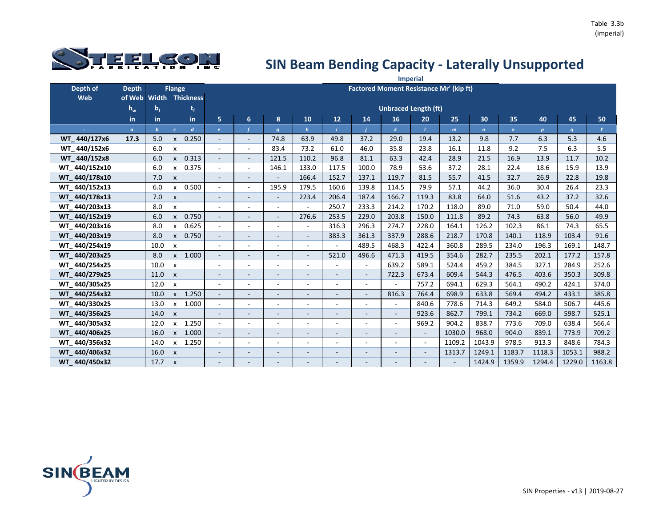

|               |                |                  |                           |                        |                              |                          |                          |                          |                          |                          |                                                | <b>Imperial</b>          |              |             |              |                  |        |              |
|---------------|----------------|------------------|---------------------------|------------------------|------------------------------|--------------------------|--------------------------|--------------------------|--------------------------|--------------------------|------------------------------------------------|--------------------------|--------------|-------------|--------------|------------------|--------|--------------|
| Depth of      | <b>Depth</b>   |                  | <b>Flange</b>             |                        |                              |                          |                          |                          |                          |                          | <b>Factored Moment Resistance Mr' (kip ft)</b> |                          |              |             |              |                  |        |              |
| Web           | of Web         |                  |                           | <b>Width Thickness</b> |                              |                          |                          |                          |                          |                          |                                                |                          |              |             |              |                  |        |              |
|               | $h_w$          | $b_f$            |                           | t,                     |                              |                          |                          |                          |                          |                          | <b>Unbraced Length (ft)</b>                    |                          |              |             |              |                  |        |              |
|               | in             | in               |                           | in                     | 5                            | $6\phantom{a}$           | 8                        | 10                       | 12                       | 14                       | 16                                             | 20                       | 25           | 30          | 35           | 40               | 45     | 50           |
|               | $\mathfrak{a}$ | $\boldsymbol{b}$ | $\epsilon$                | $\boldsymbol{d}$       | $\epsilon$                   |                          | $\boldsymbol{g}$         | $\boldsymbol{h}$         |                          |                          |                                                |                          | $\mathsf{m}$ | $\mathbf n$ | $\mathbf{o}$ | $\boldsymbol{p}$ | q      | $\mathbf{r}$ |
| WT 440/127x6  | 17.3           | 5.0              | X                         | 0.250                  | $\overline{\phantom{a}}$     | $\overline{\phantom{a}}$ | 74.8                     | 63.9                     | 49.8                     | 37.2                     | 29.0                                           | 19.4                     | 13.2         | 9.8         | 7.7          | 6.3              | 5.3    | 4.6          |
| WT 440/152x6  |                | 6.0              | X                         |                        | $\overline{\phantom{a}}$     | $\blacksquare$           | 83.4                     | 73.2                     | 61.0                     | 46.0                     | 35.8                                           | 23.8                     | 16.1         | 11.8        | 9.2          | 7.5              | 6.3    | 5.5          |
| WT 440/152x8  |                | 6.0              | $\mathsf{x}$              | 0.313                  | $\overline{\phantom{a}}$     | $\blacksquare$           | 121.5                    | 110.2                    | 96.8                     | 81.1                     | 63.3                                           | 42.4                     | 28.9         | 21.5        | 16.9         | 13.9             | 11.7   | 10.2         |
| WT 440/152x10 |                | 6.0              | X                         | 0.375                  | $\blacksquare$               | ÷.                       | 146.1                    | 133.0                    | 117.5                    | 100.0                    | 78.9                                           | 53.6                     | 37.2         | 28.1        | 22.4         | 18.6             | 15.9   | 13.9         |
| WT 440/178x10 |                | 7.0              | $\mathsf{x}$              |                        | $\overline{\phantom{a}}$     | $\overline{\phantom{a}}$ | $\overline{\phantom{a}}$ | 166.4                    | 152.7                    | 137.1                    | 119.7                                          | 81.5                     | 55.7         | 41.5        | 32.7         | 26.9             | 22.8   | 19.8         |
| WT 440/152x13 |                | 6.0              | X                         | 0.500                  | $\overline{\phantom{a}}$     | $\overline{\phantom{a}}$ | 195.9                    | 179.5                    | 160.6                    | 139.8                    | 114.5                                          | 79.9                     | 57.1         | 44.2        | 36.0         | 30.4             | 26.4   | 23.3         |
| WT 440/178x13 |                | 7.0              | $\mathsf{x}$              |                        | $\overline{\phantom{a}}$     | $\sim$                   | $\overline{\phantom{a}}$ | 223.4                    | 206.4                    | 187.4                    | 166.7                                          | 119.3                    | 83.8         | 64.0        | 51.6         | 43.2             | 37.2   | 32.6         |
| WT 440/203x13 |                | 8.0              | x                         |                        | $\overline{\phantom{a}}$     | $\overline{\phantom{a}}$ | $\overline{\phantom{a}}$ |                          | 250.7                    | 233.3                    | 214.2                                          | 170.2                    | 118.0        | 89.0        | 71.0         | 59.0             | 50.4   | 44.0         |
| WT 440/152x19 |                | 6.0              | $\mathsf{x}$              | 0.750                  | $\blacksquare$               | $\sim$                   | $\overline{\phantom{a}}$ | 276.6                    | 253.5                    | 229.0                    | 203.8                                          | 150.0                    | 111.8        | 89.2        | 74.3         | 63.8             | 56.0   | 49.9         |
| WT 440/203x16 |                | 8.0              | X                         | 0.625                  | $\overline{\phantom{a}}$     |                          | $\overline{\phantom{a}}$ | ÷,                       | 316.3                    | 296.3                    | 274.7                                          | 228.0                    | 164.1        | 126.2       | 102.3        | 86.1             | 74.3   | 65.5         |
| WT 440/203x19 |                | 8.0              | $\mathsf{x}$              | 0.750                  | $\overline{\phantom{a}}$     | $\sim$                   | $\blacksquare$           | $\sim$                   | 383.3                    | 361.3                    | 337.9                                          | 288.6                    | 218.7        | 170.8       | 140.1        | 118.9            | 103.4  | 91.6         |
| WT 440/254x19 |                | 10.0             | $\boldsymbol{\mathsf{x}}$ |                        | ÷                            |                          | $\overline{\phantom{0}}$ | $\qquad \qquad -$        |                          | 489.5                    | 468.3                                          | 422.4                    | 360.8        | 289.5       | 234.0        | 196.3            | 169.1  | 148.7        |
| WT 440/203x25 |                | 8.0              |                           | x 1.000                | $\blacksquare$               | $\sim$                   | $\blacksquare$           | $\overline{\phantom{a}}$ | 521.0                    | 496.6                    | 471.3                                          | 419.5                    | 354.6        | 282.7       | 235.5        | 202.1            | 177.2  | 157.8        |
| WT 440/254x25 |                | 10.0             | $\mathsf{x}$              |                        | $\overline{\phantom{a}}$     | $\blacksquare$           | $\overline{\phantom{a}}$ | $\blacksquare$           |                          | $\blacksquare$           | 639.2                                          | 589.1                    | 524.4        | 459.2       | 384.5        | 327.1            | 284.9  | 252.6        |
| WT 440/279x25 |                | 11.0             | $\mathsf{x}$              |                        | $\overline{\phantom{a}}$     | $\sim$                   | $\overline{\phantom{a}}$ | $\overline{\phantom{a}}$ | $\overline{\phantom{a}}$ | $\overline{\phantom{a}}$ | 722.3                                          | 673.4                    | 609.4        | 544.3       | 476.5        | 403.6            | 350.3  | 309.8        |
| WT 440/305x25 |                | 12.0             | $\boldsymbol{\mathsf{x}}$ |                        | $\overline{\phantom{a}}$     | $\sim$                   | $\sim$                   | ٠                        | $\sim$                   | ÷.                       |                                                | 757.2                    | 694.1        | 629.3       | 564.1        | 490.2            | 424.1  | 374.0        |
| WT 440/254x32 |                | 10.0             | $\mathsf{x}$              | 1.250                  | $\overline{\phantom{a}}$     | $\sim$                   | $\overline{\phantom{a}}$ | $\overline{\phantom{a}}$ | $\overline{\phantom{a}}$ | $\blacksquare$           | 816.3                                          | 764.4                    | 698.9        | 633.8       | 569.4        | 494.2            | 433.1  | 385.8        |
| WT 440/330x25 |                | 13.0             | $\boldsymbol{\mathsf{x}}$ | 1.000                  | $\overline{\phantom{a}}$     | $\blacksquare$           | $\blacksquare$           | ٠                        | $\overline{\phantom{a}}$ | L,                       |                                                | 840.6                    | 778.6        | 714.3       | 649.2        | 584.0            | 506.7  | 445.6        |
| WT 440/356x25 |                | 14.0             | $\boldsymbol{\mathsf{x}}$ |                        | $\overline{\phantom{a}}$     | $\overline{\phantom{a}}$ | $\overline{\phantom{a}}$ | $\overline{\phantom{a}}$ | $\overline{\phantom{a}}$ | $\overline{\phantom{0}}$ | $\overline{\phantom{a}}$                       | 923.6                    | 862.7        | 799.1       | 734.2        | 669.0            | 598.7  | 525.1        |
| WT 440/305x32 |                | 12.0             | X                         | 1.250                  | $\sim$                       | $\overline{\phantom{a}}$ | $\blacksquare$           | $\sim$                   | $\overline{\phantom{a}}$ | $\overline{a}$           |                                                | 969.2                    | 904.2        | 838.7       | 773.6        | 709.0            | 638.4  | 566.4        |
| WT 440/406x25 |                | 16.0             | $\pmb{\times}$            | 1.000                  | $\blacksquare$               | $\overline{\phantom{a}}$ | $\overline{\phantom{a}}$ | $\overline{\phantom{a}}$ | $\overline{\phantom{a}}$ | $\overline{\phantom{0}}$ |                                                | $\sim$                   | 1030.0       | 968.0       | 904.0        | 839.1            | 773.9  | 709.2        |
| WT 440/356x32 |                | 14.0             | $\mathsf{x}$              | 1.250                  | $\blacksquare$               | $\overline{\phantom{a}}$ | $\overline{\phantom{a}}$ | ÷,                       | $\overline{\phantom{a}}$ | L,                       | $\overline{\phantom{a}}$                       | $\sim$                   | 1109.2       | 1043.9      | 978.5        | 913.3            | 848.6  | 784.3        |
| WT 440/406x32 |                | 16.0             | $\mathsf{x}$              |                        | $\overline{\phantom{a}}$     | $\overline{\phantom{a}}$ | $\overline{\phantom{a}}$ | $\overline{\phantom{m}}$ | $\overline{\phantom{a}}$ | $\overline{\phantom{0}}$ |                                                | $\overline{\phantom{0}}$ | 1313.7       | 1249.1      | 1183.7       | 1118.3           | 1053.1 | 988.2        |
| WT 440/450x32 |                | 17.7             | $\boldsymbol{\mathsf{x}}$ |                        | $\qquad \qquad \blacksquare$ |                          |                          |                          |                          |                          |                                                |                          |              | 1424.9      | 1359.9       | 1294.4           | 1229.0 | 1163.8       |

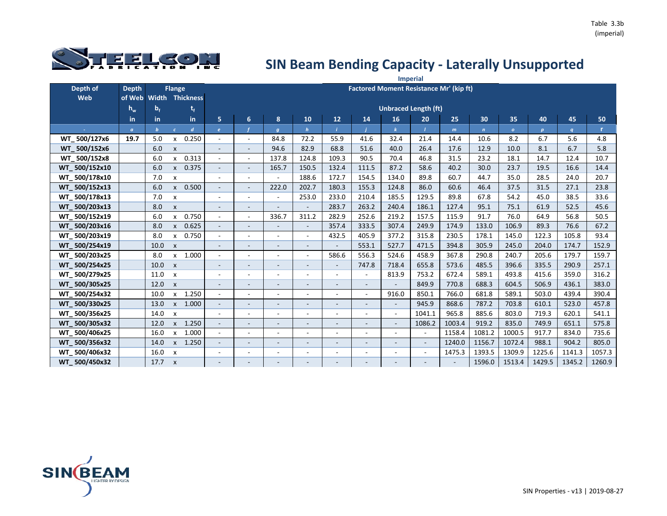

|               |              |              |                           |                        |                          |                          |                          |                          |                          |                          |                          | <b>Imperial</b>                                |              |                |              |                  |        |        |
|---------------|--------------|--------------|---------------------------|------------------------|--------------------------|--------------------------|--------------------------|--------------------------|--------------------------|--------------------------|--------------------------|------------------------------------------------|--------------|----------------|--------------|------------------|--------|--------|
| Depth of      | <b>Depth</b> |              | <b>Flange</b>             |                        |                          |                          |                          |                          |                          |                          |                          | <b>Factored Moment Resistance Mr' (kip ft)</b> |              |                |              |                  |        |        |
| Web           | of Web       |              |                           | <b>Width Thickness</b> |                          |                          |                          |                          |                          |                          |                          |                                                |              |                |              |                  |        |        |
|               | $h_w$        | $b_f$        |                           | t,                     |                          |                          |                          |                          |                          |                          |                          | <b>Unbraced Length (ft)</b>                    |              |                |              |                  |        |        |
|               | in.          | in.          |                           | in.                    | 5                        | 6                        | 8                        | 10                       | 12                       | 14                       | 16                       | 20                                             | 25           | 30             | 35           | 40               | 45     | 50     |
| ×.            | $\alpha$     | $\mathbf{b}$ | $\epsilon$                | $\boldsymbol{d}$       | $\epsilon$               |                          | $\boldsymbol{g}$         | $\boldsymbol{h}$         |                          |                          |                          |                                                | $\mathsf{m}$ | $\overline{ }$ | $\mathbf{o}$ | $\boldsymbol{p}$ | q      | r.     |
| WT 500/127x6  | 19.7         | 5.0          | $\mathsf{x}$              | 0.250                  |                          | $\overline{a}$           | 84.8                     | 72.2                     | 55.9                     | 41.6                     | 32.4                     | 21.4                                           | 14.4         | 10.6           | 8.2          | 6.7              | 5.6    | 4.8    |
| WT 500/152x6  |              | 6.0          | $\boldsymbol{\mathsf{x}}$ |                        |                          | $\overline{\phantom{a}}$ | 94.6                     | 82.9                     | 68.8                     | 51.6                     | 40.0                     | 26.4                                           | 17.6         | 12.9           | 10.0         | 8.1              | 6.7    | 5.8    |
| WT_500/152x8  |              | 6.0          | X                         | 0.313                  |                          | $\overline{\phantom{a}}$ | 137.8                    | 124.8                    | 109.3                    | 90.5                     | 70.4                     | 46.8                                           | 31.5         | 23.2           | 18.1         | 14.7             | 12.4   | 10.7   |
| WT 500/152x10 |              | 6.0          | $\mathsf{x}$              | 0.375                  | $\overline{\phantom{a}}$ | $\overline{\phantom{a}}$ | 165.7                    | 150.5                    | 132.4                    | 111.5                    | 87.2                     | 58.6                                           | 40.2         | 30.0           | 23.7         | 19.5             | 16.6   | 14.4   |
| WT 500/178x10 |              | 7.0          | $\pmb{\times}$            |                        |                          | $\overline{\phantom{a}}$ |                          | 188.6                    | 172.7                    | 154.5                    | 134.0                    | 89.8                                           | 60.7         | 44.7           | 35.0         | 28.5             | 24.0   | 20.7   |
| WT 500/152x13 |              | 6.0          | $\mathsf{x}$              | 0.500                  | $\overline{\phantom{a}}$ | $\overline{\phantom{a}}$ | 222.0                    | 202.7                    | 180.3                    | 155.3                    | 124.8                    | 86.0                                           | 60.6         | 46.4           | 37.5         | 31.5             | 27.1   | 23.8   |
| WT 500/178x13 |              | 7.0          | $\pmb{\times}$            |                        |                          | $\overline{\phantom{a}}$ |                          | 253.0                    | 233.0                    | 210.4                    | 185.5                    | 129.5                                          | 89.8         | 67.8           | 54.2         | 45.0             | 38.5   | 33.6   |
| WT 500/203x13 |              | 8.0          | $\boldsymbol{\mathsf{x}}$ |                        |                          |                          |                          |                          | 283.7                    | 263.2                    | 240.4                    | 186.1                                          | 127.4        | 95.1           | 75.1         | 61.9             | 52.5   | 45.6   |
| WT 500/152x19 |              | 6.0          | $\mathsf{x}$              | 0.750                  | $\sim$                   | $\overline{\phantom{a}}$ | 336.7                    | 311.2                    | 282.9                    | 252.6                    | 219.2                    | 157.5                                          | 115.9        | 91.7           | 76.0         | 64.9             | 56.8   | 50.5   |
| WT 500/203x16 |              | 8.0          | $\mathsf{x}$              | 0.625                  |                          |                          |                          |                          | 357.4                    | 333.5                    | 307.4                    | 249.9                                          | 174.9        | 133.0          | 106.9        | 89.3             | 76.6   | 67.2   |
| WT 500/203x19 |              | 8.0          | X                         | 0.750                  | $\sim$                   | $\overline{\phantom{a}}$ | $\sim$                   | $\sim$                   | 432.5                    | 405.9                    | 377.2                    | 315.8                                          | 230.5        | 178.1          | 145.0        | 122.3            | 105.8  | 93.4   |
| WT 500/254x19 |              | 10.0         | $\boldsymbol{\mathsf{x}}$ |                        |                          | Ξ                        |                          | $\overline{\phantom{a}}$ |                          | 553.1                    | 527.7                    | 471.5                                          | 394.8        | 305.9          | 245.0        | 204.0            | 174.7  | 152.9  |
| WT 500/203x25 |              | 8.0          | $\mathsf{x}$              | 1.000                  |                          | $\overline{\phantom{a}}$ | $\sim$                   | $\blacksquare$           | 586.6                    | 556.3                    | 524.6                    | 458.9                                          | 367.8        | 290.8          | 240.7        | 205.6            | 179.7  | 159.7  |
| WT 500/254x25 |              | 10.0         | $\boldsymbol{\mathsf{x}}$ |                        |                          | $\overline{\phantom{a}}$ | $\overline{\phantom{a}}$ | $\overline{\phantom{a}}$ | $\overline{\phantom{a}}$ | 747.8                    | 718.4                    | 655.8                                          | 573.6        | 485.5          | 396.6        | 335.5            | 290.9  | 257.1  |
| WT 500/279x25 |              | 11.0         | $\boldsymbol{\mathsf{x}}$ |                        |                          | $\overline{\phantom{a}}$ | $\overline{\phantom{a}}$ | $\overline{a}$           | $\overline{\phantom{a}}$ | $\blacksquare$           | 813.9                    | 753.2                                          | 672.4        | 589.1          | 493.8        | 415.6            | 359.0  | 316.2  |
| WT_500/305x25 |              | 12.0         | $\mathsf{x}$              |                        |                          | $\overline{\phantom{a}}$ |                          | $\overline{\phantom{a}}$ | $\overline{\phantom{a}}$ |                          |                          | 849.9                                          | 770.8        | 688.3          | 604.5        | 506.9            | 436.1  | 383.0  |
| WT 500/254x32 |              | 10.0         | $\mathsf{x}$              | 1.250                  | $\sim$                   | $\overline{\phantom{a}}$ |                          | ۰                        | ÷.                       | ÷.                       | 916.0                    | 850.1                                          | 766.0        | 681.8          | 589.1        | 503.0            | 439.4  | 390.4  |
| WT 500/330x25 |              | 13.0         | $\mathsf{x}$              | 1.000                  | $\sim$                   | $\blacksquare$           | $\blacksquare$           | $\overline{\phantom{a}}$ | $\blacksquare$           | $\overline{\phantom{a}}$ |                          | 945.9                                          | 868.6        | 787.2          | 703.8        | 610.1            | 523.0  | 457.8  |
| WT 500/356x25 |              | 14.0         | $\boldsymbol{\mathsf{x}}$ |                        | $\overline{\phantom{a}}$ | $\overline{\phantom{a}}$ | $\overline{\phantom{a}}$ | $\overline{a}$           | $\overline{\phantom{a}}$ | $\blacksquare$           | $\sim$                   | 1041.1                                         | 965.8        | 885.6          | 803.0        | 719.3            | 620.1  | 541.1  |
| WT 500/305x32 |              | 12.0         | $\mathsf{x}$              | 1.250                  |                          | $\overline{a}$           | $\overline{\phantom{a}}$ | $\overline{\phantom{a}}$ | $\overline{\phantom{a}}$ |                          | $\overline{\phantom{a}}$ | 1086.2                                         | 1003.4       | 919.2          | 835.0        | 749.9            | 651.1  | 575.8  |
| WT 500/406x25 |              | 16.0         | x                         | 1.000                  | $\overline{\phantom{a}}$ | $\overline{\phantom{a}}$ | $\overline{\phantom{a}}$ | ٠                        | $\blacksquare$           | $\overline{\phantom{a}}$ | $\blacksquare$           | $\overline{\phantom{a}}$                       | 1158.4       | 1081.2         | 1000.5       | 917.7            | 834.0  | 735.6  |
| WT 500/356x32 |              | 14.0         | $\mathsf{x}$              | 1.250                  | $\sim$                   | $\blacksquare$           | $\sim$                   | $\sim$                   | $\overline{\phantom{a}}$ | $\blacksquare$           | $\overline{a}$           | $\overline{\phantom{a}}$                       | 1240.0       | 1156.7         | 1072.4       | 988.1            | 904.2  | 805.0  |
| WT 500/406x32 |              | 16.0         | $\boldsymbol{\mathsf{x}}$ |                        |                          | $\overline{\phantom{a}}$ | $\overline{\phantom{a}}$ | $\overline{\phantom{a}}$ | $\blacksquare$           | $\blacksquare$           | $\blacksquare$           | $\overline{\phantom{a}}$                       | 1475.3       | 1393.5         | 1309.9       | 1225.6           | 1141.3 | 1057.3 |
| WT 500/450x32 |              | 17.7         | $\boldsymbol{\mathsf{x}}$ |                        |                          | $\qquad \qquad -$        |                          |                          |                          |                          |                          |                                                |              | 1596.0         | 1513.4       | 1429.5           | 1345.2 | 1260.9 |

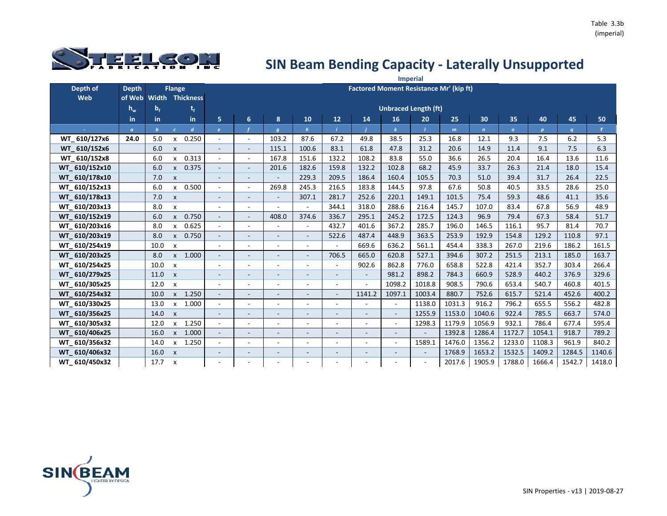

|               |                |                |                           |                        |                          |                          |                          |                          |                          |                          |        | <b>Imperial</b>                                |              |                |                |                  |        |        |
|---------------|----------------|----------------|---------------------------|------------------------|--------------------------|--------------------------|--------------------------|--------------------------|--------------------------|--------------------------|--------|------------------------------------------------|--------------|----------------|----------------|------------------|--------|--------|
| Depth of      | <b>Depth</b>   |                | <b>Flange</b>             |                        |                          |                          |                          |                          |                          |                          |        | <b>Factored Moment Resistance Mr' (kip ft)</b> |              |                |                |                  |        |        |
| Web           | of Web         |                |                           | <b>Width Thickness</b> |                          |                          |                          |                          |                          |                          |        |                                                |              |                |                |                  |        |        |
|               | $h_w$          | b <sub>f</sub> |                           | t,                     |                          |                          |                          |                          |                          |                          |        | <b>Unbraced Length (ft)</b>                    |              |                |                |                  |        |        |
|               | in             | in.            |                           | in.                    | 5                        | 6                        | 8                        | 10                       | 12                       | 14                       | 16     | 20                                             | 25           | 30             | 35             | 40               | 45     | 50     |
| ÷             | $\mathfrak{a}$ | $\mathbf b$    | $\epsilon$                | $\boldsymbol{d}$       | $\mathbf{e}$             |                          | $\boldsymbol{q}$         | $\boldsymbol{h}$         |                          |                          |        |                                                | $\mathbf{m}$ | $\overline{ }$ | $\overline{O}$ | $\boldsymbol{p}$ | q      | r.     |
| WT 610/127x6  | 24.0           | 5.0            | X                         | 0.250                  | $\overline{\phantom{a}}$ | $\blacksquare$           | 103.2                    | 87.6                     | 67.2                     | 49.8                     | 38.5   | 25.3                                           | 16.8         | 12.1           | 9.3            | 7.5              | 6.2    | 5.3    |
| WT 610/152x6  |                | 6.0            | $\boldsymbol{\mathsf{x}}$ |                        | $\overline{\phantom{a}}$ | $\blacksquare$           | 115.1                    | 100.6                    | 83.1                     | 61.8                     | 47.8   | 31.2                                           | 20.6         | 14.9           | 11.4           | 9.1              | 7.5    | 6.3    |
| WT_610/152x8  |                | 6.0            | X                         | 0.313                  | $\blacksquare$           | $\sim$                   | 167.8                    | 151.6                    | 132.2                    | 108.2                    | 83.8   | 55.0                                           | 36.6         | 26.5           | 20.4           | 16.4             | 13.6   | 11.6   |
| WT 610/152x10 |                | 6.0            | $\mathsf{x}$              | 0.375                  | $\overline{\phantom{a}}$ | $\overline{\phantom{a}}$ | 201.6                    | 182.6                    | 159.8                    | 132.2                    | 102.8  | 68.2                                           | 45.9         | 33.7           | 26.3           | 21.4             | 18.0   | 15.4   |
| WT 610/178x10 |                | 7.0            | $\boldsymbol{\mathsf{x}}$ |                        | $\overline{\phantom{a}}$ | $\blacksquare$           |                          | 229.3                    | 209.5                    | 186.4                    | 160.4  | 105.5                                          | 70.3         | 51.0           | 39.4           | 31.7             | 26.4   | 22.5   |
| WT 610/152x13 |                | 6.0            | $\mathsf{x}$              | 0.500                  |                          | $\overline{\phantom{a}}$ | 269.8                    | 245.3                    | 216.5                    | 183.8                    | 144.5  | 97.8                                           | 67.6         | 50.8           | 40.5           | 33.5             | 28.6   | 25.0   |
| WT 610/178x13 |                | 7.0            | $\mathsf{x}$              |                        | $\overline{\phantom{a}}$ | $\overline{\phantom{a}}$ | $\overline{\phantom{a}}$ | 307.1                    | 281.7                    | 252.6                    | 220.1  | 149.1                                          | 101.5        | 75.4           | 59.3           | 48.6             | 41.1   | 35.6   |
| WT 610/203x13 |                | 8.0            | X                         |                        | $\overline{\phantom{a}}$ | $\overline{\phantom{a}}$ |                          |                          | 344.1                    | 318.0                    | 288.6  | 216.4                                          | 145.7        | 107.0          | 83.4           | 67.8             | 56.9   | 48.9   |
| WT 610/152x19 |                | 6.0            | $\mathsf{x}$              | 0.750                  | $\blacksquare$           | $\overline{\phantom{a}}$ | 408.0                    | 374.6                    | 336.7                    | 295.1                    | 245.2  | 172.5                                          | 124.3        | 96.9           | 79.4           | 67.3             | 58.4   | 51.7   |
| WT 610/203x16 |                | 8.0            | X                         | 0.625                  | $\overline{\phantom{a}}$ | $\overline{\phantom{a}}$ |                          |                          | 432.7                    | 401.6                    | 367.2  | 285.7                                          | 196.0        | 146.5          | 116.1          | 95.7             | 81.4   | 70.7   |
| WT 610/203x19 |                | 8.0            | $\mathsf{x}$              | 0.750                  | $\overline{\phantom{a}}$ | $\overline{\phantom{a}}$ | $\overline{\phantom{a}}$ | $\overline{\phantom{a}}$ | 522.6                    | 487.4                    | 448.9  | 363.5                                          | 253.9        | 192.9          | 154.8          | 129.2            | 110.8  | 97.1   |
| WT 610/254x19 |                | 10.0           | X                         |                        | $\overline{\phantom{a}}$ | $\overline{a}$           |                          | $\overline{a}$           |                          | 669.6                    | 636.2  | 561.1                                          | 454.4        | 338.3          | 267.0          | 219.6            | 186.2  | 161.5  |
| WT 610/203x25 |                | 8.0            | $\mathsf{x}$              | 1.000                  | $\overline{\phantom{a}}$ | $\overline{\phantom{a}}$ | $\blacksquare$           | $\overline{\phantom{a}}$ | 706.5                    | 665.0                    | 620.8  | 527.1                                          | 394.6        | 307.2          | 251.5          | 213.1            | 185.0  | 163.7  |
| WT 610/254x25 |                | 10.0           | $\boldsymbol{\mathsf{x}}$ |                        | $\overline{\phantom{a}}$ | ٠                        |                          | ۰                        |                          | 902.6                    | 862.8  | 776.0                                          | 658.8        | 522.8          | 421.4          | 352.7            | 303.4  | 266.4  |
| WT 610/279x25 |                | 11.0           | $\boldsymbol{\mathsf{x}}$ |                        | $\overline{\phantom{a}}$ | $\overline{\phantom{a}}$ |                          | $\overline{\phantom{a}}$ | $\overline{\phantom{a}}$ | $\overline{\phantom{a}}$ | 981.2  | 898.2                                          | 784.3        | 660.9          | 528.9          | 440.2            | 376.9  | 329.6  |
| WT 610/305x25 |                | 12.0           | X                         |                        | $\overline{\phantom{a}}$ |                          |                          |                          |                          |                          | 1098.2 | 1018.8                                         | 908.5        | 790.6          | 653.4          | 540.7            | 460.8  | 401.5  |
| WT 610/254x32 |                | 10.0           | $\mathsf{x}$              | 1.250                  | $\overline{\phantom{a}}$ | $\sim$                   |                          | $\blacksquare$           | $\sim$                   | 1141.2                   | 1097.1 | 1003.4                                         | 880.7        | 752.6          | 615.7          | 521.4            | 452.6  | 400.2  |
| WT 610/330x25 |                | 13.0           | $\mathsf{x}$              | 1.000                  | $\overline{\phantom{a}}$ | $\overline{a}$           |                          | ۰                        |                          |                          |        | 1138.0                                         | 1031.3       | 916.2          | 796.2          | 655.5            | 556.2  | 482.8  |
| WT 610/356x25 |                | 14.0           | $\mathsf{x}$              |                        | $\overline{\phantom{a}}$ | $\overline{\phantom{a}}$ |                          | $\overline{\phantom{a}}$ |                          |                          | $\sim$ | 1255.9                                         | 1153.0       | 1040.6         | 922.4          | 785.5            | 663.7  | 574.0  |
| WT 610/305x32 |                | 12.0           | $\mathsf{x}$              | 1.250                  | $\sim$                   | $\overline{a}$           |                          | ٠                        |                          |                          |        | 1298.3                                         | 1179.9       | 1056.9         | 932.1          | 786.4            | 677.4  | 595.4  |
| WT 610/406x25 |                | 16.0           | $\mathsf{x}$              | 1.000                  | $\overline{\phantom{a}}$ | $\blacksquare$           | $\sim$                   | $\overline{\phantom{a}}$ | $\overline{\phantom{a}}$ |                          | $\sim$ | $\overline{\phantom{a}}$                       | 1392.8       | 1286.4         | 1172.7         | 1054.1           | 918.7  | 789.2  |
| WT 610/356x32 |                | 14.0           | $\mathsf{x}$              | 1.250                  | $\overline{\phantom{a}}$ | $\overline{\phantom{a}}$ | $\overline{\phantom{a}}$ | ٠                        |                          | $\overline{a}$           | $\sim$ | 1589.1                                         | 1476.0       | 1356.2         | 1233.0         | 1108.3           | 961.9  | 840.2  |
| WT 610/406x32 |                | 16.0           | $\boldsymbol{\mathsf{x}}$ |                        | $\overline{\phantom{a}}$ | $\overline{\phantom{a}}$ | $\overline{\phantom{a}}$ | $\overline{\phantom{a}}$ | $\sim$                   | $\overline{\phantom{0}}$ | $\sim$ | $\overline{\phantom{a}}$                       | 1768.9       | 1653.2         | 1532.5         | 1409.2           | 1284.5 | 1140.6 |
| WT 610/450x32 |                | 17.7           | X                         |                        |                          |                          |                          | ٠                        |                          |                          |        |                                                | 2017.6       | 1905.9         | 1788.0         | 1666.4           | 1542.7 | 1418.0 |

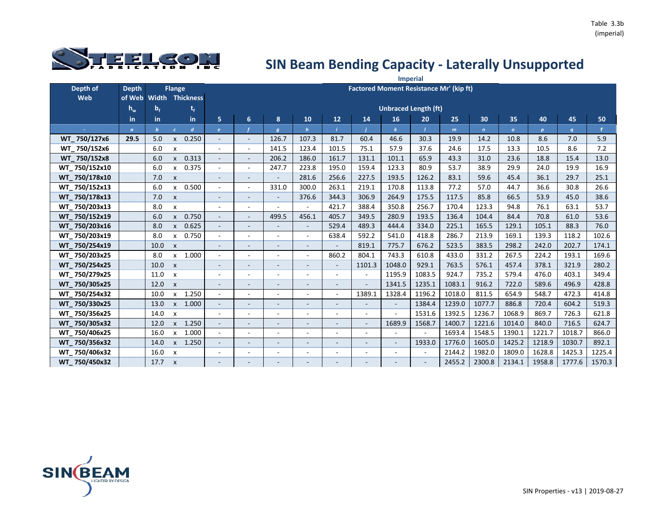

|               |                |                |                           |                  |                          |                          |                          |                          |                          |                |                          | <b>Imperial</b>                                |              |                |                |                  |                  |        |
|---------------|----------------|----------------|---------------------------|------------------|--------------------------|--------------------------|--------------------------|--------------------------|--------------------------|----------------|--------------------------|------------------------------------------------|--------------|----------------|----------------|------------------|------------------|--------|
| Depth of      | <b>Depth</b>   |                | <b>Flange</b>             |                  |                          |                          |                          |                          |                          |                |                          | <b>Factored Moment Resistance Mr' (kip ft)</b> |              |                |                |                  |                  |        |
| Web           | of Web         | <b>Width</b>   |                           | <b>Thickness</b> |                          |                          |                          |                          |                          |                |                          |                                                |              |                |                |                  |                  |        |
|               | $h_w$          | b <sub>f</sub> |                           | t,               |                          |                          |                          |                          |                          |                |                          | <b>Unbraced Length (ft)</b>                    |              |                |                |                  |                  |        |
|               | in             | in             |                           | in.              | 5                        | $6\phantom{1}$           | 8                        | 10                       | 12                       | 14             | 16                       | 20                                             | 25           | 30             | 35             | 40               | 45               | 50     |
|               | $\mathfrak{a}$ | $\mathbf b$    | $\epsilon$                | d                | $\mathbf{e}$             |                          | $\boldsymbol{g}$         | $\mathbf h$              |                          |                |                          |                                                | $\mathbf{m}$ | $\overline{ }$ | $\overline{O}$ | $\boldsymbol{p}$ | $\boldsymbol{q}$ | r.     |
| WT 750/127x6  | 29.5           | 5.0            | X                         | 0.250            | $\overline{\phantom{a}}$ | $\overline{\phantom{a}}$ | 126.7                    | 107.3                    | 81.7                     | 60.4           | 46.6                     | 30.3                                           | 19.9         | 14.2           | 10.8           | 8.6              | 7.0              | 5.9    |
| WT 750/152x6  |                | 6.0            | $\boldsymbol{\mathsf{x}}$ |                  | $\overline{\phantom{a}}$ | $\overline{\phantom{a}}$ | 141.5                    | 123.4                    | 101.5                    | 75.1           | 57.9                     | 37.6                                           | 24.6         | 17.5           | 13.3           | 10.5             | 8.6              | 7.2    |
| WT 750/152x8  |                | 6.0            | $\pmb{\mathsf{X}}$        | 0.313            | $\blacksquare$           | $\overline{\phantom{a}}$ | 206.2                    | 186.0                    | 161.7                    | 131.1          | 101.1                    | 65.9                                           | 43.3         | 31.0           | 23.6           | 18.8             | 15.4             | 13.0   |
| WT 750/152x10 |                | 6.0            | $\boldsymbol{\mathsf{x}}$ | 0.375            | $\overline{\phantom{a}}$ | $\overline{\phantom{a}}$ | 247.7                    | 223.8                    | 195.0                    | 159.4          | 123.3                    | 80.9                                           | 53.7         | 38.9           | 29.9           | 24.0             | 19.9             | 16.9   |
| WT 750/178x10 |                | 7.0            | $\boldsymbol{\mathsf{x}}$ |                  | $\sim$                   | $\overline{a}$           | $\overline{\phantom{a}}$ | 281.6                    | 256.6                    | 227.5          | 193.5                    | 126.2                                          | 83.1         | 59.6           | 45.4           | 36.1             | 29.7             | 25.1   |
| WT 750/152x13 |                | 6.0            | $\mathsf{x}$              | 0.500            | $\overline{\phantom{a}}$ | $\overline{a}$           | 331.0                    | 300.0                    | 263.1                    | 219.1          | 170.8                    | 113.8                                          | 77.2         | 57.0           | 44.7           | 36.6             | 30.8             | 26.6   |
| WT 750/178x13 |                | 7.0            | $\boldsymbol{\mathsf{x}}$ |                  | $\overline{\phantom{a}}$ | $\overline{\phantom{a}}$ | $\overline{\phantom{a}}$ | 376.6                    | 344.3                    | 306.9          | 264.9                    | 175.5                                          | 117.5        | 85.8           | 66.5           | 53.9             | 45.0             | 38.6   |
| WT 750/203x13 |                | 8.0            | X                         |                  | $\overline{\phantom{a}}$ | $\overline{a}$           |                          |                          | 421.7                    | 388.4          | 350.8                    | 256.7                                          | 170.4        | 123.3          | 94.8           | 76.1             | 63.1             | 53.7   |
| WT 750/152x19 |                | 6.0            | $\pmb{\mathsf{X}}$        | 0.750            | $\overline{\phantom{a}}$ | $\overline{\phantom{a}}$ | 499.5                    | 456.1                    | 405.7                    | 349.5          | 280.9                    | 193.5                                          | 136.4        | 104.4          | 84.4           | 70.8             | 61.0             | 53.6   |
| WT 750/203x16 |                | 8.0            | $\mathsf{x}$              | 0.625            | $\overline{\phantom{a}}$ | $\overline{\phantom{a}}$ |                          | $\overline{a}$           | 529.4                    | 489.3          | 444.4                    | 334.0                                          | 225.1        | 165.5          | 129.1          | 105.1            | 88.3             | 76.0   |
| WT 750/203x19 |                | 8.0            | $\mathsf{x}$              | 0.750            | $\overline{\phantom{a}}$ | $\overline{\phantom{a}}$ | $\overline{\phantom{a}}$ | $\blacksquare$           | 638.4                    | 592.2          | 541.0                    | 418.8                                          | 286.7        | 213.9          | 169.1          | 139.3            | 118.2            | 102.6  |
| WT 750/254x19 |                | 10.0           | $\boldsymbol{\mathsf{x}}$ |                  |                          |                          |                          |                          |                          | 819.1          | 775.7                    | 676.2                                          | 523.5        | 383.5          | 298.2          | 242.0            | 202.7            | 174.1  |
| WT 750/203x25 |                | 8.0            | $\boldsymbol{\mathsf{x}}$ | 1.000            | $\overline{\phantom{a}}$ | $\overline{\phantom{a}}$ | $\blacksquare$           | $\blacksquare$           | 860.2                    | 804.1          | 743.3                    | 610.8                                          | 433.0        | 331.2          | 267.5          | 224.2            | 193.1            | 169.6  |
| WT 750/254x25 |                | 10.0           | $\boldsymbol{\mathsf{x}}$ |                  |                          | $\overline{\phantom{a}}$ |                          | $\overline{\phantom{a}}$ |                          | 1101.3         | 1048.0                   | 929.1                                          | 763.5        | 576.1          | 457.4          | 378.1            | 321.9            | 280.2  |
| WT 750/279x25 |                | 11.0           | $\boldsymbol{\mathsf{x}}$ |                  | $\overline{\phantom{a}}$ | $\overline{a}$           |                          | $\qquad \qquad -$        | $\overline{\phantom{a}}$ |                | 1195.9                   | 1083.5                                         | 924.7        | 735.2          | 579.4          | 476.0            | 403.1            | 349.4  |
| WT 750/305x25 |                | 12.0           | $\boldsymbol{\mathsf{x}}$ |                  | $\overline{\phantom{a}}$ | $\overline{\phantom{a}}$ |                          | $\overline{\phantom{a}}$ |                          |                | 1341.5                   | 1235.1                                         | 1083.1       | 916.2          | 722.0          | 589.6            | 496.9            | 428.8  |
| WT 750/254x32 |                | 10.0           | $\mathsf{x}$              | 1.250            | $\sim$                   | $\overline{\phantom{a}}$ |                          | ۰                        | $\sim$                   | 1389.1         | 1328.4                   | 1196.2                                         | 1018.0       | 811.5          | 654.9          | 548.7            | 472.3            | 414.8  |
| WT_750/330x25 |                | 13.0           | $\mathsf{x}$              | 1.000            | $\sim$                   | $\overline{\phantom{a}}$ |                          | $\overline{\phantom{a}}$ | $\blacksquare$           |                | $\omega$                 | 1384.4                                         | 1239.0       | 1077.7         | 886.8          | 720.4            | 604.2            | 519.3  |
| WT 750/356x25 |                | 14.0           | $\boldsymbol{\mathsf{x}}$ |                  | $\overline{\phantom{a}}$ | ٠                        |                          | ۰                        | $\blacksquare$           | $\blacksquare$ | ÷                        | 1531.6                                         | 1392.5       | 1236.7         | 1068.9         | 869.7            | 726.3            | 621.8  |
| WT 750/305x32 |                | 12.0           | $\mathsf{x}$              | 1.250            |                          | $\overline{\phantom{a}}$ |                          | $\overline{\phantom{a}}$ |                          |                | 1689.9                   | 1568.7                                         | 1400.7       | 1221.6         | 1014.0         | 840.0            | 716.5            | 624.7  |
| WT 750/406x25 |                | 16.0           | X                         | 1.000            | $\blacksquare$           | $\overline{a}$           | $\overline{\phantom{a}}$ | ٠                        | $\sim$                   | $\sim$         |                          |                                                | 1693.4       | 1548.5         | 1390.1         | 1221.7           | 1018.7           | 866.0  |
| WT 750/356x32 |                | 14.0           | $\mathsf{x}$              | 1.250            | $\overline{\phantom{a}}$ | $\overline{\phantom{a}}$ | $\sim$                   | $\overline{\phantom{m}}$ | $\blacksquare$           |                | $\overline{\phantom{a}}$ | 1933.0                                         | 1776.0       | 1605.0         | 1425.2         | 1218.9           | 1030.7           | 892.1  |
| WT 750/406x32 |                | 16.0           | $\boldsymbol{\mathsf{x}}$ |                  |                          | $\overline{a}$           | $\overline{\phantom{a}}$ | $\overline{a}$           |                          |                |                          |                                                | 2144.2       | 1982.0         | 1809.0         | 1628.8           | 1425.3           | 1225.4 |
| WT 750/450x32 |                | 17.7           | $\boldsymbol{\mathsf{x}}$ |                  |                          |                          |                          |                          |                          |                |                          |                                                | 2455.2       | 2300.8         | 2134.1         | 1958.8           | 1777.6           | 1570.3 |

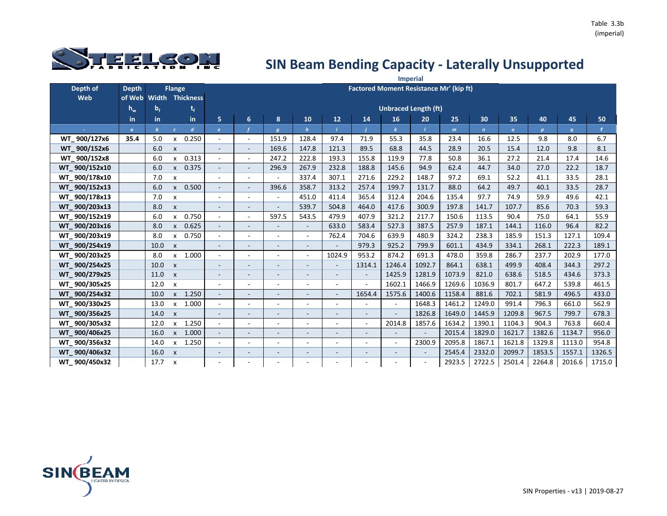

|               |                |                  |                           |                        |                          |                          |                  |                          |                          |        |                                                | <b>Imperial</b>          |              |              |              |                  |                  |        |
|---------------|----------------|------------------|---------------------------|------------------------|--------------------------|--------------------------|------------------|--------------------------|--------------------------|--------|------------------------------------------------|--------------------------|--------------|--------------|--------------|------------------|------------------|--------|
| Depth of      | <b>Depth</b>   |                  | <b>Flange</b>             |                        |                          |                          |                  |                          |                          |        | <b>Factored Moment Resistance Mr' (kip ft)</b> |                          |              |              |              |                  |                  |        |
| Web           | of Web         |                  |                           | <b>Width Thickness</b> |                          |                          |                  |                          |                          |        |                                                |                          |              |              |              |                  |                  |        |
|               | $h_w$          | b <sub>f</sub>   |                           | t,                     |                          |                          |                  |                          |                          |        | <b>Unbraced Length (ft)</b>                    |                          |              |              |              |                  |                  |        |
|               | in             | in               |                           | in.                    | 5                        | 6                        | 8                | 10                       | 12                       | 14     | 16                                             | 20                       | 25           | 30           | 35           | 40               | 45               | 50     |
|               | $\mathfrak{a}$ | $\boldsymbol{b}$ |                           | $\boldsymbol{d}$       | $\mathbf{e}$             |                          | $\boldsymbol{q}$ |                          |                          |        |                                                |                          | $\mathbf{m}$ | $\mathbf{n}$ | $\mathbf{o}$ | $\boldsymbol{p}$ | $\boldsymbol{q}$ | r.     |
| WT_900/127x6  | 35.4           | 5.0              | x                         | 0.250                  | $\blacksquare$           | $\overline{\phantom{a}}$ | 151.9            | 128.4                    | 97.4                     | 71.9   | 55.3                                           | 35.8                     | 23.4         | 16.6         | 12.5         | 9.8              | 8.0              | 6.7    |
| WT 900/152x6  |                | 6.0              | $\boldsymbol{\mathsf{x}}$ |                        | $\overline{\phantom{a}}$ |                          | 169.6            | 147.8                    | 121.3                    | 89.5   | 68.8                                           | 44.5                     | 28.9         | 20.5         | 15.4         | 12.0             | 9.8              | 8.1    |
| WT 900/152x8  |                | 6.0              | x                         | 0.313                  | $\blacksquare$           | $\overline{\phantom{a}}$ | 247.2            | 222.8                    | 193.3                    | 155.8  | 119.9                                          | 77.8                     | 50.8         | 36.1         | 27.2         | 21.4             | 17.4             | 14.6   |
| WT 900/152x10 |                | 6.0              | X                         | 0.375                  | $\overline{\phantom{a}}$ |                          | 296.9            | 267.9                    | 232.8                    | 188.8  | 145.6                                          | 94.9                     | 62.4         | 44.7         | 34.0         | 27.0             | 22.2             | 18.7   |
| WT 900/178x10 |                | 7.0              | $\boldsymbol{\mathsf{x}}$ |                        | $\overline{\phantom{a}}$ | ٠                        |                  | 337.4                    | 307.1                    | 271.6  | 229.2                                          | 148.7                    | 97.2         | 69.1         | 52.2         | 41.1             | 33.5             | 28.1   |
| WT 900/152x13 |                | 6.0              | $\mathsf{x}$              | 0.500                  | $\overline{\phantom{a}}$ | $\overline{\phantom{a}}$ | 396.6            | 358.7                    | 313.2                    | 257.4  | 199.7                                          | 131.7                    | 88.0         | 64.2         | 49.7         | 40.1             | 33.5             | 28.7   |
| WT_900/178x13 |                | 7.0              | $\boldsymbol{\mathsf{x}}$ |                        | $\overline{\phantom{a}}$ |                          |                  | 451.0                    | 411.4                    | 365.4  | 312.4                                          | 204.6                    | 135.4        | 97.7         | 74.9         | 59.9             | 49.6             | 42.1   |
| WT 900/203x13 |                | 8.0              | $\pmb{\mathsf{x}}$        |                        |                          |                          |                  | 539.7                    | 504.8                    | 464.0  | 417.6                                          | 300.9                    | 197.8        | 141.7        | 107.7        | 85.6             | 70.3             | 59.3   |
| WT 900/152x19 |                | 6.0              | x                         | 0.750                  | $\blacksquare$           | $\overline{\phantom{a}}$ | 597.5            | 543.5                    | 479.9                    | 407.9  | 321.2                                          | 217.7                    | 150.6        | 113.5        | 90.4         | 75.0             | 64.1             | 55.9   |
| WT 900/203x16 |                | 8.0              | X                         | 0.625                  | $\overline{\phantom{a}}$ |                          |                  |                          | 633.0                    | 583.4  | 527.3                                          | 387.5                    | 257.9        | 187.1        | 144.1        | 116.0            | 96.4             | 82.2   |
| WT 900/203x19 |                | 8.0              | x                         | 0.750                  | $\sim$                   |                          |                  | $\sim$                   | 762.4                    | 704.6  | 639.9                                          | 480.9                    | 324.2        | 238.3        | 185.9        | 151.3            | 127.1            | 109.4  |
| WT 900/254x19 |                | 10.0             | $\boldsymbol{\mathsf{x}}$ |                        |                          |                          |                  |                          |                          | 979.3  | 925.2                                          | 799.9                    | 601.1        | 434.9        | 334.1        | 268.1            | 222.3            | 189.1  |
| WT 900/203x25 |                | 8.0              | X                         | 1.000                  | $\sim$                   | $\overline{\phantom{a}}$ |                  | $\blacksquare$           | 1024.9                   | 953.2  | 874.2                                          | 691.3                    | 478.0        | 359.8        | 286.7        | 237.7            | 202.9            | 177.0  |
| WT 900/254x25 |                | 10.0             | $\boldsymbol{\mathsf{x}}$ |                        | $\overline{\phantom{a}}$ |                          |                  |                          |                          | 1314.1 | 1246.4                                         | 1092.7                   | 864.1        | 638.1        | 499.9        | 408.4            | 344.3            | 297.2  |
| WT_900/279x25 |                | 11.0             | $\boldsymbol{\mathsf{x}}$ |                        | $\overline{\phantom{a}}$ | $\overline{\phantom{a}}$ |                  | $\overline{\phantom{a}}$ |                          |        | 1425.9                                         | 1281.9                   | 1073.9       | 821.0        | 638.6        | 518.5            | 434.6            | 373.3  |
| WT 900/305x25 |                | 12.0             | X                         |                        | $\overline{\phantom{a}}$ |                          |                  |                          |                          |        | 1602.1                                         | 1466.9                   | 1269.6       | 1036.9       | 801.7        | 647.2            | 539.8            | 461.5  |
| WT 900/254x32 |                | 10.0             | $\mathsf{x}$              | 1.250                  | $\blacksquare$           | $\blacksquare$           |                  |                          |                          | 1654.4 | 1575.6                                         | 1400.6                   | 1158.4       | 881.6        | 702.1        | 581.9            | 496.5            | 433.0  |
| WT 900/330x25 |                | 13.0             | $\mathsf{x}$              | 1.000                  | $\sim$                   |                          |                  |                          |                          |        | $\overline{\phantom{a}}$                       | 1648.3                   | 1461.2       | 1249.0       | 991.4        | 796.3            | 661.0            | 562.9  |
| WT 900/356x25 |                | 14.0             | $\boldsymbol{\mathsf{x}}$ |                        | $\sim$                   | $\overline{\phantom{a}}$ |                  |                          |                          |        | $\blacksquare$                                 | 1826.8                   | 1649.0       | 1445.9       | 1209.8       | 967.5            | 799.7            | 678.3  |
| WT_900/305x32 |                | 12.0             | $\mathsf{x}$              | 1.250                  | $\overline{a}$           |                          |                  |                          |                          |        | 2014.8                                         | 1857.6                   | 1634.2       | 1390.1       | 1104.3       | 904.3            | 763.8            | 660.4  |
| WT 900/406x25 |                | 16.0             | $\pmb{\mathsf{x}}$        | 1.000                  | $\sim$                   | $\overline{\phantom{a}}$ |                  | $\overline{\phantom{a}}$ |                          |        | $\blacksquare$                                 | $\overline{\phantom{a}}$ | 2015.4       | 1829.0       | 1621.7       | 1382.6           | 1134.7           | 956.0  |
| WT 900/356x32 |                | 14.0             | $\mathsf{x}$              | 1.250                  | $\blacksquare$           | ٠                        |                  |                          |                          |        | $\overline{\phantom{a}}$                       | 2300.9                   | 2095.8       | 1867.1       | 1621.8       | 1329.8           | 1113.0           | 954.8  |
| WT 900/406x32 |                | 16.0             | $\boldsymbol{\mathsf{x}}$ |                        | $\sim$                   | $\overline{\phantom{a}}$ |                  | $\overline{\phantom{a}}$ | $\overline{\phantom{a}}$ |        | $\overline{\phantom{a}}$                       | $\overline{\phantom{a}}$ | 2545.4       | 2332.0       | 2099.7       | 1853.5           | 1557.1           | 1326.5 |
| WT 900/450x32 |                | 17.7             | X                         |                        |                          |                          |                  |                          |                          |        |                                                |                          | 2923.5       | 2722.5       | 2501.4       | 2264.8           | 2016.6           | 1715.0 |

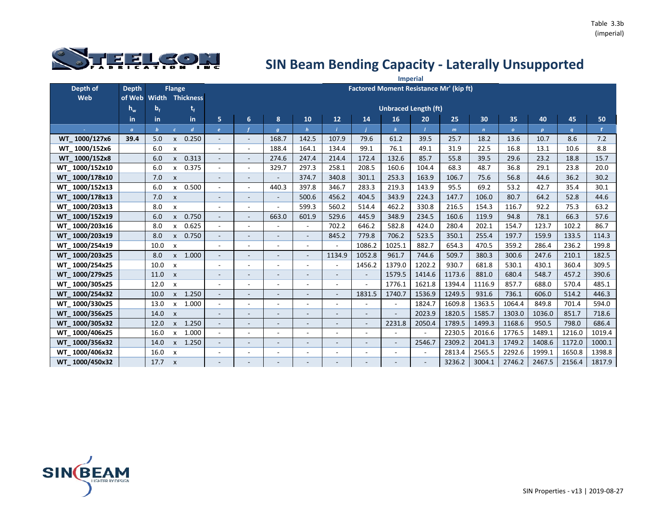

|                |                |                |                           |                        |                          |                              |                          |                          |                          |                          |                          | <b>Imperial</b>                                |              |              |              |                  |        |        |
|----------------|----------------|----------------|---------------------------|------------------------|--------------------------|------------------------------|--------------------------|--------------------------|--------------------------|--------------------------|--------------------------|------------------------------------------------|--------------|--------------|--------------|------------------|--------|--------|
| Depth of       | <b>Depth</b>   |                | <b>Flange</b>             |                        |                          |                              |                          |                          |                          |                          |                          | <b>Factored Moment Resistance Mr' (kip ft)</b> |              |              |              |                  |        |        |
| Web            | of Web         |                |                           | <b>Width Thickness</b> |                          |                              |                          |                          |                          |                          |                          |                                                |              |              |              |                  |        |        |
|                | $h_w$          | b <sub>f</sub> |                           | t,                     |                          |                              |                          |                          |                          |                          |                          | <b>Unbraced Length (ft)</b>                    |              |              |              |                  |        |        |
|                | in             | in.            |                           | in.                    | 5                        | 6                            | 8                        | 10                       | 12                       | 14                       | 16                       | 20                                             | 25           | 30           | 35           | 40               | 45     | 50     |
|                | $\mathfrak{a}$ | $\mathbf{b}$   | $\epsilon$                | $\boldsymbol{d}$       | $\epsilon$               |                              | $\boldsymbol{g}$         | $\mathbf h$              |                          |                          |                          |                                                | $\mathsf{m}$ | $\mathbf{r}$ | $\mathbf{o}$ | $\boldsymbol{p}$ | q      | r.     |
| WT 1000/127x6  | 39.4           | 5.0            | $\mathsf{x}$              | 0.250                  | $\overline{\phantom{a}}$ | $\overline{\phantom{a}}$     | 168.7                    | 142.5                    | 107.9                    | 79.6                     | 61.2                     | 39.5                                           | 25.7         | 18.2         | 13.6         | 10.7             | 8.6    | 7.2    |
| WT 1000/152x6  |                | 6.0            | X                         |                        | $\overline{\phantom{a}}$ | $\overline{\phantom{a}}$     | 188.4                    | 164.1                    | 134.4                    | 99.1                     | 76.1                     | 49.1                                           | 31.9         | 22.5         | 16.8         | 13.1             | 10.6   | 8.8    |
| WT 1000/152x8  |                | 6.0            | $\mathsf{x}$              | 0.313                  | $\overline{\phantom{a}}$ | $\bar{a}$                    | 274.6                    | 247.4                    | 214.4                    | 172.4                    | 132.6                    | 85.7                                           | 55.8         | 39.5         | 29.6         | 23.2             | 18.8   | 15.7   |
| WT 1000/152x10 |                | 6.0            | $\mathsf{x}$              | 0.375                  | $\overline{\phantom{a}}$ | $\overline{\phantom{a}}$     | 329.7                    | 297.3                    | 258.1                    | 208.5                    | 160.6                    | 104.4                                          | 68.3         | 48.7         | 36.8         | 29.1             | 23.8   | 20.0   |
| WT 1000/178x10 |                | 7.0            | $\boldsymbol{\mathsf{x}}$ |                        | $\overline{\phantom{a}}$ | $\qquad \qquad \blacksquare$ |                          | 374.7                    | 340.8                    | 301.1                    | 253.3                    | 163.9                                          | 106.7        | 75.6         | 56.8         | 44.6             | 36.2   | 30.2   |
| WT 1000/152x13 |                | 6.0            | $\mathsf{x}$              | 0.500                  |                          | $\overline{\phantom{a}}$     | 440.3                    | 397.8                    | 346.7                    | 283.3                    | 219.3                    | 143.9                                          | 95.5         | 69.2         | 53.2         | 42.7             | 35.4   | 30.1   |
| WT 1000/178x13 |                | 7.0            | $\pmb{\mathsf{x}}$        |                        | $\overline{\phantom{a}}$ | $\overline{\phantom{a}}$     |                          | 500.6                    | 456.2                    | 404.5                    | 343.9                    | 224.3                                          | 147.7        | 106.0        | 80.7         | 64.2             | 52.8   | 44.6   |
| WT 1000/203x13 |                | 8.0            | X                         |                        | $\overline{\phantom{a}}$ | $\overline{\phantom{a}}$     |                          | 599.3                    | 560.2                    | 514.4                    | 462.2                    | 330.8                                          | 216.5        | 154.3        | 116.7        | 92.2             | 75.3   | 63.2   |
| WT 1000/152x19 |                | 6.0            | $\mathsf{x}$              | 0.750                  | $\blacksquare$           | $\blacksquare$               | 663.0                    | 601.9                    | 529.6                    | 445.9                    | 348.9                    | 234.5                                          | 160.6        | 119.9        | 94.8         | 78.1             | 66.3   | 57.6   |
| WT 1000/203x16 |                | 8.0            | $\mathsf{x}$              | 0.625                  | $\overline{\phantom{a}}$ | L,                           |                          | ÷,                       | 702.2                    | 646.2                    | 582.8                    | 424.0                                          | 280.4        | 202.1        | 154.7        | 123.7            | 102.2  | 86.7   |
| WT 1000/203x19 |                | 8.0            | $\mathsf{x}$              | 0.750                  | $\overline{\phantom{a}}$ | $\overline{\phantom{a}}$     | $\blacksquare$           | $\overline{\phantom{a}}$ | 845.2                    | 779.8                    | 706.2                    | 523.5                                          | 350.1        | 255.4        | 197.7        | 159.9            | 133.5  | 114.3  |
| WT 1000/254x19 |                | 10.0           | $\boldsymbol{\mathsf{x}}$ |                        | $\overline{\phantom{a}}$ | $\overline{\phantom{a}}$     |                          | $\overline{\phantom{a}}$ |                          | 1086.2                   | 1025.1                   | 882.7                                          | 654.3        | 470.5        | 359.2        | 286.4            | 236.2  | 199.8  |
| WT 1000/203x25 |                | 8.0            | $\mathsf{x}$              | 1.000                  | $\overline{\phantom{a}}$ | $\blacksquare$               | $\sim$                   | $\overline{\phantom{a}}$ | 1134.9                   | 1052.8                   | 961.7                    | 744.6                                          | 509.7        | 380.3        | 300.6        | 247.6            | 210.1  | 182.5  |
| WT 1000/254x25 |                | 10.0           | $\boldsymbol{\mathsf{x}}$ |                        | $\overline{\phantom{a}}$ | $\overline{\phantom{a}}$     |                          | $\overline{\phantom{0}}$ |                          | 1456.2                   | 1379.0                   | 1202.2                                         | 930.7        | 681.8        | 530.1        | 430.1            | 360.4  | 309.5  |
| WT 1000/279x25 |                | 11.0           | $\mathsf{x}$              |                        | $\overline{\phantom{a}}$ | $\overline{\phantom{a}}$     | $\overline{\phantom{a}}$ | $\overline{\phantom{a}}$ | $\sim$                   | $\overline{\phantom{a}}$ | 1579.5                   | 1414.6                                         | 1173.6       | 881.0        | 680.4        | 548.7            | 457.2  | 390.6  |
| WT 1000/305x25 |                | 12.0           | $\boldsymbol{\mathsf{x}}$ |                        | $\overline{\phantom{a}}$ | ٠                            |                          | ۰                        | $\overline{\phantom{a}}$ | $\overline{\phantom{a}}$ | 1776.1                   | 1621.8                                         | 1394.4       | 1116.9       | 857.7        | 688.0            | 570.4  | 485.1  |
| WT 1000/254x32 |                | 10.0           |                           | x 1.250                | $\overline{\phantom{a}}$ | $\overline{\phantom{a}}$     | $\sim$                   | $\overline{\phantom{a}}$ | $\sim$                   | 1831.5                   | 1740.7                   | 1536.9                                         | 1249.5       | 931.6        | 736.1        | 606.0            | 514.2  | 446.3  |
| WT 1000/330x25 |                | 13.0           | $\mathsf{x}$              | 1.000                  | $\blacksquare$           | $\overline{a}$               | $\overline{\phantom{a}}$ | ٠                        | $\sim$                   |                          | $\sim$                   | 1824.7                                         | 1609.8       | 1363.5       | 1064.4       | 849.8            | 701.4  | 594.0  |
| WT 1000/356x25 |                | 14.0           | $\mathsf{x}$              |                        | $\overline{\phantom{a}}$ | $\overline{\phantom{a}}$     | $\overline{\phantom{a}}$ | $\overline{\phantom{a}}$ | $\overline{\phantom{a}}$ | $\overline{\phantom{0}}$ |                          | 2023.9                                         | 1820.5       | 1585.7       | 1303.0       | 1036.0           | 851.7  | 718.6  |
| WT 1000/305x32 |                | 12.0           | $\mathsf{x}$              | 1.250                  |                          | ۳                            |                          | $\overline{a}$           |                          |                          | 2231.8                   | 2050.4                                         | 1789.5       | 1499.3       | 1168.6       | 950.5            | 798.0  | 686.4  |
| WT 1000/406x25 |                | 16.0           | X                         | 1.000                  | $\overline{\phantom{a}}$ | $\overline{\phantom{a}}$     | $\overline{\phantom{a}}$ | $\overline{\phantom{a}}$ | $\overline{\phantom{a}}$ | ٠                        | $\blacksquare$           | $\sim$                                         | 2230.5       | 2016.6       | 1776.5       | 1489.1           | 1216.0 | 1019.4 |
| WT 1000/356x32 |                | 14.0           | $\mathsf{x}$              | 1.250                  | $\sim$                   | $\blacksquare$               | $\sim$                   | $\overline{\phantom{a}}$ | $\sim$                   | $\blacksquare$           | $\overline{\phantom{a}}$ | 2546.7                                         | 2309.2       | 2041.3       | 1749.2       | 1408.6           | 1172.0 | 1000.1 |
| WT 1000/406x32 |                | 16.0           | $\mathsf{x}$              |                        | $\overline{\phantom{a}}$ | $\overline{\phantom{a}}$     | $\overline{\phantom{a}}$ | $\overline{\phantom{a}}$ | $\overline{\phantom{a}}$ | ٠                        |                          | $\blacksquare$                                 | 2813.4       | 2565.5       | 2292.6       | 1999.1           | 1650.8 | 1398.8 |
| WT 1000/450x32 |                | 17.7           | $\boldsymbol{\mathsf{x}}$ |                        |                          |                              |                          |                          |                          |                          |                          |                                                | 3236.2       | 3004.1       | 2746.2       | 2467.5           | 2156.4 | 1817.9 |

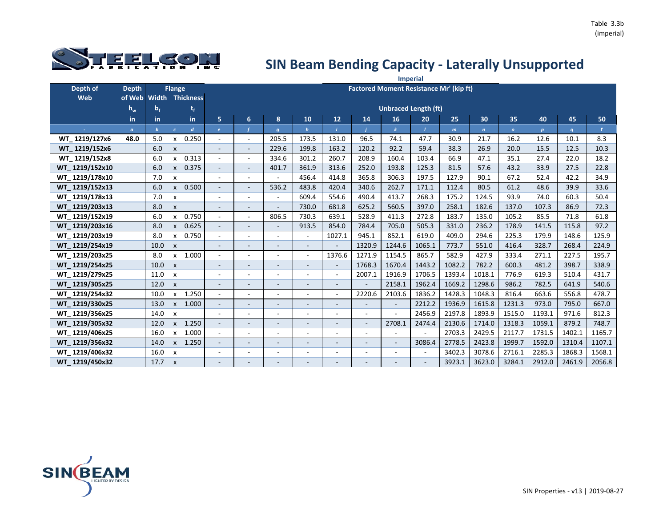

|                |                |                |                           |                        |                          |                          |                          |                          |                |        |        | <b>Imperial</b>                                |        |             |              |              |        |        |
|----------------|----------------|----------------|---------------------------|------------------------|--------------------------|--------------------------|--------------------------|--------------------------|----------------|--------|--------|------------------------------------------------|--------|-------------|--------------|--------------|--------|--------|
| Depth of       | <b>Depth</b>   |                | <b>Flange</b>             |                        |                          |                          |                          |                          |                |        |        | <b>Factored Moment Resistance Mr' (kip ft)</b> |        |             |              |              |        |        |
| Web            | of Web         |                |                           | <b>Width Thickness</b> |                          |                          |                          |                          |                |        |        |                                                |        |             |              |              |        |        |
|                | $h_w$          | b <sub>f</sub> |                           | t,                     |                          |                          |                          |                          |                |        |        | <b>Unbraced Length (ft)</b>                    |        |             |              |              |        |        |
|                | in             | in             |                           | in                     | 5                        | 6                        | 8                        | 10                       | 12             | 14     | 16     | 20                                             | 25     | 30          | 35           | 40           | 45     | 50     |
|                | $\mathfrak{a}$ | $\mathbf b$    | $\epsilon$                | $\overline{d}$         | $\epsilon$               |                          | $\boldsymbol{g}$         | $\mathbf{h}$             |                |        |        |                                                | m      | $\mathbf n$ | $\mathbf{o}$ | $\mathbf{p}$ | q      | r.     |
| WT 1219/127x6  | 48.0           | 5.0            | x                         | 0.250                  | $\overline{\phantom{a}}$ | $\sim$                   | 205.5                    | 173.5                    | 131.0          | 96.5   | 74.1   | 47.7                                           | 30.9   | 21.7        | 16.2         | 12.6         | 10.1   | 8.3    |
| WT 1219/152x6  |                | 6.0            | $\boldsymbol{\mathsf{x}}$ |                        | $\blacksquare$           |                          | 229.6                    | 199.8                    | 163.2          | 120.2  | 92.2   | 59.4                                           | 38.3   | 26.9        | 20.0         | 15.5         | 12.5   | 10.3   |
| WT 1219/152x8  |                | 6.0            | x                         | 0.313                  | $\overline{\phantom{a}}$ | $\sim$                   | 334.6                    | 301.2                    | 260.7          | 208.9  | 160.4  | 103.4                                          | 66.9   | 47.1        | 35.1         | 27.4         | 22.0   | 18.2   |
| WT 1219/152x10 |                | 6.0            | $\mathsf{x}$              | 0.375                  | $\overline{\phantom{a}}$ |                          | 401.7                    | 361.9                    | 313.6          | 252.0  | 193.8  | 125.3                                          | 81.5   | 57.6        | 43.2         | 33.9         | 27.5   | 22.8   |
| WT 1219/178x10 |                | 7.0            | $\boldsymbol{\mathsf{x}}$ |                        | $\overline{a}$           | $\sim$                   | ÷,                       | 456.4                    | 414.8          | 365.8  | 306.3  | 197.5                                          | 127.9  | 90.1        | 67.2         | 52.4         | 42.2   | 34.9   |
| WT 1219/152x13 |                | 6.0            | $\mathsf{x}$              | 0.500                  | $\overline{\phantom{a}}$ | $\overline{\phantom{a}}$ | 536.2                    | 483.8                    | 420.4          | 340.6  | 262.7  | 171.1                                          | 112.4  | 80.5        | 61.2         | 48.6         | 39.9   | 33.6   |
| WT 1219/178x13 |                | 7.0            | $\boldsymbol{\mathsf{x}}$ |                        |                          |                          |                          | 609.4                    | 554.6          | 490.4  | 413.7  | 268.3                                          | 175.2  | 124.5       | 93.9         | 74.0         | 60.3   | 50.4   |
| WT 1219/203x13 |                | 8.0            | $\pmb{\times}$            |                        | $\blacksquare$           |                          |                          | 730.0                    | 681.8          | 625.2  | 560.5  | 397.0                                          | 258.1  | 182.6       | 137.0        | 107.3        | 86.9   | 72.3   |
| WT 1219/152x19 |                | 6.0            | x                         | 0.750                  | $\overline{\phantom{a}}$ | $\sim$                   | 806.5                    | 730.3                    | 639.1          | 528.9  | 411.3  | 272.8                                          | 183.7  | 135.0       | 105.2        | 85.5         | 71.8   | 61.8   |
| WT 1219/203x16 |                | 8.0            | $\mathsf{x}$              | 0.625                  | $\overline{\phantom{a}}$ |                          |                          | 913.5                    | 854.0          | 784.4  | 705.0  | 505.3                                          | 331.0  | 236.2       | 178.9        | 141.5        | 115.8  | 97.2   |
| WT_1219/203x19 |                | 8.0            | X                         | 0.750                  | $\overline{\phantom{a}}$ |                          | $\blacksquare$           | $\overline{\phantom{a}}$ | 1027.1         | 945.1  | 852.1  | 619.0                                          | 409.0  | 294.6       | 225.3        | 179.9        | 148.6  | 125.9  |
| WT 1219/254x19 |                | 10.0           | $\boldsymbol{\mathsf{x}}$ |                        | $\overline{\phantom{m}}$ |                          |                          |                          |                | 1320.9 | 1244.6 | 1065.1                                         | 773.7  | 551.0       | 416.4        | 328.7        | 268.4  | 224.9  |
| WT 1219/203x25 |                | 8.0            | X                         | 1.000                  | $\overline{\phantom{a}}$ | $\sim$                   | $\overline{a}$           | $\blacksquare$           | 1376.6         | 1271.9 | 1154.5 | 865.7                                          | 582.9  | 427.9       | 333.4        | 271.1        | 227.5  | 195.7  |
| WT 1219/254x25 |                | 10.0           | $\boldsymbol{\mathsf{x}}$ |                        | $\overline{\phantom{m}}$ |                          | $\overline{\phantom{0}}$ |                          |                | 1768.3 | 1670.4 | 1443.2                                         | 1082.2 | 782.2       | 600.3        | 481.2        | 398.7  | 338.9  |
| WT 1219/279x25 |                | 11.0           | $\boldsymbol{\mathsf{x}}$ |                        | $\overline{\phantom{a}}$ |                          | $\overline{\phantom{a}}$ |                          | $\blacksquare$ | 2007.1 | 1916.9 | 1706.5                                         | 1393.4 | 1018.1      | 776.9        | 619.3        | 510.4  | 431.7  |
| WT 1219/305x25 |                | 12.0           | $\mathsf{x}$              |                        | $\sim$                   |                          |                          |                          |                |        | 2158.1 | 1962.4                                         | 1669.2 | 1298.6      | 986.2        | 782.5        | 641.9  | 540.6  |
| WT 1219/254x32 |                | 10.0           | $\boldsymbol{\mathsf{x}}$ | 1.250                  | $\overline{\phantom{a}}$ | $\sim$                   | $\overline{\phantom{a}}$ |                          | ÷.             | 2220.6 | 2103.6 | 1836.2                                         | 1428.3 | 1048.3      | 816.4        | 663.6        | 556.8  | 478.7  |
| WT 1219/330x25 |                | 13.0           | $\mathsf{x}$              | 1.000                  | $\bar{a}$                |                          | $\overline{\phantom{a}}$ |                          |                |        |        | 2212.2                                         | 1936.9 | 1615.8      | 1231.3       | 973.0        | 795.0  | 667.0  |
| WT 1219/356x25 |                | 14.0           | $\boldsymbol{\mathsf{x}}$ |                        | $\overline{\phantom{a}}$ |                          | $\blacksquare$           |                          |                |        |        | 2456.9                                         | 2197.8 | 1893.9      | 1515.0       | 1193.1       | 971.6  | 812.3  |
| WT 1219/305x32 |                | 12.0           | $\mathsf{x}$              | 1.250                  | $\blacksquare$           |                          | $\overline{\phantom{0}}$ |                          |                |        | 2708.1 | 2474.4                                         | 2130.6 | 1714.0      | 1318.3       | 1059.1       | 879.2  | 748.7  |
| WT 1219/406x25 |                | 16.0           | x                         | 1.000                  | $\blacksquare$           | $\overline{\phantom{a}}$ | $\overline{\phantom{a}}$ | $\sim$                   | ٠              |        |        | $\overline{a}$                                 | 2703.3 | 2429.5      | 2117.7       | 1731.5       | 1402.1 | 1165.7 |
| WT 1219/356x32 |                | 14.0           | $\mathsf{x}$              | 1.250                  | $\blacksquare$           | $\sim$                   | $\blacksquare$           |                          |                |        |        | 3086.4                                         | 2778.5 | 2423.8      | 1999.7       | 1592.0       | 1310.4 | 1107.1 |
| WT 1219/406x32 |                | 16.0           | $\boldsymbol{\mathsf{x}}$ |                        | $\overline{\phantom{a}}$ | $\overline{\phantom{a}}$ | $\overline{\phantom{a}}$ |                          |                |        |        |                                                | 3402.3 | 3078.6      | 2716.1       | 2285.3       | 1868.3 | 1568.1 |
| WT 1219/450x32 |                | 17.7           | $\boldsymbol{\mathsf{x}}$ |                        |                          |                          | -                        |                          |                |        |        |                                                | 3923.1 | 3623.0      | 3284.1       | 2912.0       | 2461.9 | 2056.8 |